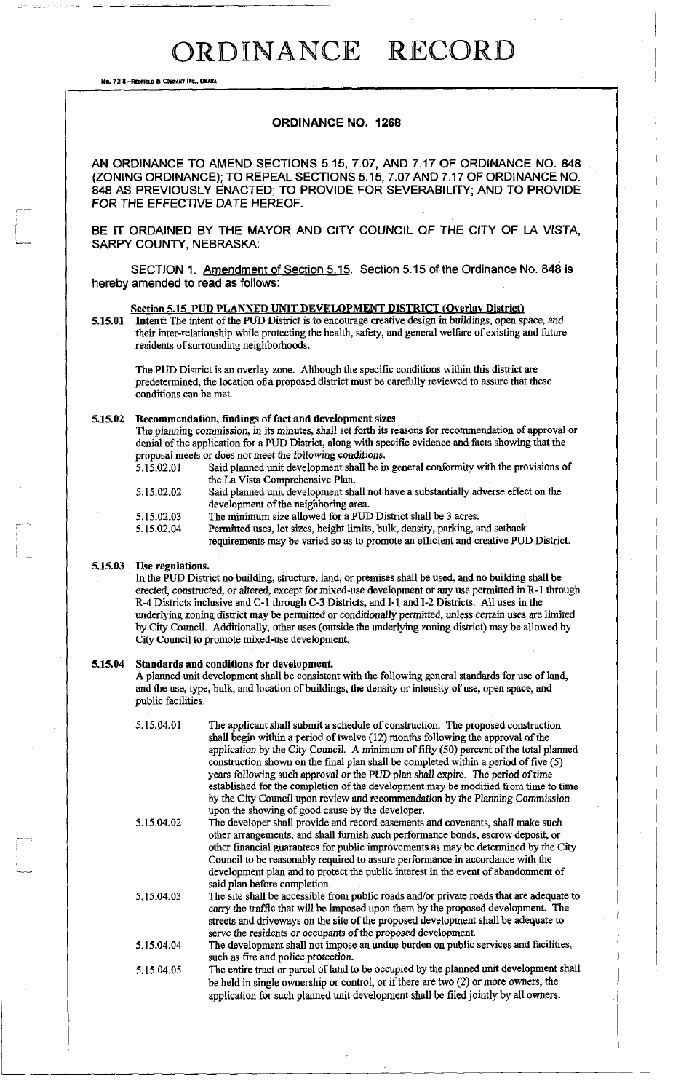No. 72 8-REDFIELD & COWFANY INC., OMAHA

### **ORDINANCE NO. 1268**

AN ORDINANCE TO AMEND SECTIONS 5.15, 7.07, AND 7.17 OF ORDINANCE NO. 848 (ZONING ORDINANCE): TO REPEAL SECTIONS 5.15, 7.07 AND 7.17 OF ORDINANCE NO. 848 AS PREVIOUSLY ENACTED; TO PROVIDE FOR SEVERABILITY; AND TO PROVIDE FOR THE EFFECTIVE DATE HEREOF.

BE IT ORDAINED BY THE MAYOR AND CITY COUNCIL OF THE CITY OF LA VISTA, SARPY COUNTY, NEBRASKA:

SECTION 1. Amendment of Section 5.15. Section 5.15 of the Ordinance No. 848 is hereby amended to read as follows:

### Section 5.15 PUD PLANNED UNIT DEVELOPMENT DISTRICT (Overlay District)

5.15.01 **Intent:** The intent of the PUD District is to encourage creative design in buildings, open space, and their inter-relationship while protecting the health, safety, and general welfare of existing and future residents of surrounding neighborhoods.

The PUD District is an overlay zone. Although the specific conditions within this district are predetermined, the location of a proposed district must be carefully reviewed to assure that these conditions can be met.

### **5.15.02 Recommendation, findings of fact and development sizes**

The planning commission, in its minutes, shall set forth its reasons for recommendation of approval or denial of the application for a PUD District, along with specific evidence and facts showing that the proposal meets or does not meet the following conditions.<br>5.15.02.01 Said planned unit development shall be in

- Said planned unit development shall be in general conformity with the provisions of the La Vista Comprehensive Plan. 5.15.02.02 Said planned unit development shall not have a substantially adverse effect on the
	- development of the neighboring area.
- 5.15.02.03 The minimum size allowed for a PUD District shall be 3 acres.
- 5.15.02.04 Permitted uses, lot sizes, height limits, bulk, density, parking, and setback requirements may be varied so as to promote an efficient and creative PUD District.

### **5.15.03 Use regulations.**

In the PUD District no building, structure, land, or premises shall be used, and no building shall be erected, constructed, or altered, except for mixed-use development or any use permitted in R-1 through R-4 Districts inclusive and C-l through C-3 Districts, and 1-1 and 1-2 Districts. All uses in the underlying zoning district may be permitted or conditionally permitted, unless certain uses are limited by City Council. Additionally, other uses (outside the underlying zoning district) may be allowed by City Council to promote mixed-use development.

### **5.15.04 Standards and conditions for development.**

A planned unit development shall be consistent with the following general standards for use of land, and the use, type, bulk, and location of buildings, the density or intensity of use, open space, and public facilities.

| 5.15.04.01 | The applicant shall submit a schedule of construction. The proposed construction<br>shall begin within a period of twelve (12) months following the approval of the<br>application by the City Council. A minimum of fifty (50) percent of the total planned |
|------------|--------------------------------------------------------------------------------------------------------------------------------------------------------------------------------------------------------------------------------------------------------------|
|            | construction shown on the final plan shall be completed within a period of five (5)                                                                                                                                                                          |
|            | years following such approval or the PUD plan shall expire. The period of time                                                                                                                                                                               |
|            | established for the completion of the development may be modified from time to time                                                                                                                                                                          |
|            | by the City Council upon review and recommendation by the Planning Commission<br>upon the showing of good cause by the developer.                                                                                                                            |
| 5.15.04.02 | The developer shall provide and record easements and covenants, shall make such                                                                                                                                                                              |
|            | other arrangements, and shall furnish such performance bonds, escrow deposit, or                                                                                                                                                                             |
|            | other financial guarantees for public improvements as may be determined by the City                                                                                                                                                                          |
|            | Council to be reasonably required to assure performance in accordance with the                                                                                                                                                                               |
|            | development plan and to protect the public interest in the event of abandonment of<br>said plan before completion.                                                                                                                                           |
| 5.15.04.03 | The site shall be accessible from public roads and/or private roads that are adequate to<br>carry the traffic that will be imposed upon them by the proposed development. The                                                                                |
|            | streets and driveways on the site of the proposed development shall be adequate to<br>serve the residents or occupants of the proposed development.                                                                                                          |
| 5.15.04.04 | The development shall not impose an undue burden on public services and facilities,<br>such as fire and police protection.                                                                                                                                   |
| 5.15.04.05 | The entire tract or parcel of land to be occupied by the planned unit development shall                                                                                                                                                                      |
|            | be held in single ownership or control, or if there are two $(2)$ or more owners, the                                                                                                                                                                        |
|            | application for such planned unit development shall be filed jointly by all owners.                                                                                                                                                                          |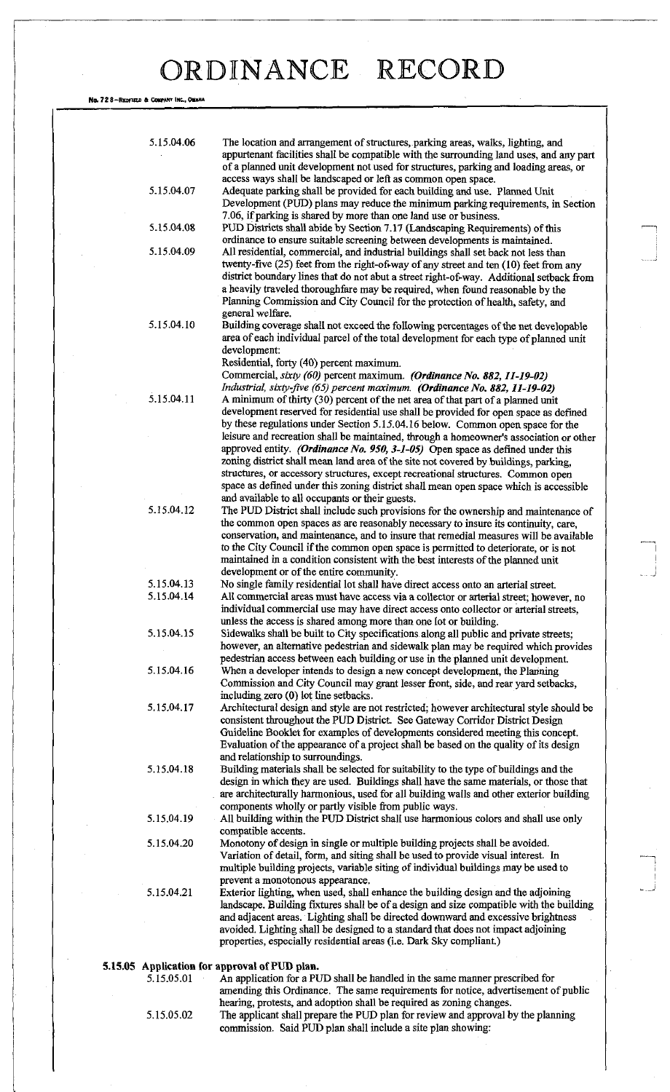No. 72 8-REDFTELD & COMPANY INC., OMAHA

| 5.15.04.06 | The location and arrangement of structures, parking areas, walks, lighting, and<br>appurtenant facilities shall be compatible with the surrounding land uses, and any part<br>of a planned unit development not used for structures, parking and loading areas, or<br>access ways shall be landscaped or left as common open space.                                                                                                                                                            |
|------------|------------------------------------------------------------------------------------------------------------------------------------------------------------------------------------------------------------------------------------------------------------------------------------------------------------------------------------------------------------------------------------------------------------------------------------------------------------------------------------------------|
| 5.15.04.07 | Adequate parking shall be provided for each building and use. Planned Unit<br>Development (PUD) plans may reduce the minimum parking requirements, in Section<br>7.06, if parking is shared by more than one land use or business.                                                                                                                                                                                                                                                             |
| 5.15.04.08 | PUD Districts shall abide by Section 7.17 (Landscaping Requirements) of this<br>ordinance to ensure suitable screening between developments is maintained.                                                                                                                                                                                                                                                                                                                                     |
| 5.15.04.09 | All residential, commercial, and industrial buildings shall set back not less than<br>twenty-five (25) feet from the right-of-way of any street and ten (10) feet from any<br>district boundary lines that do not abut a street right-of-way. Additional setback from<br>a heavily traveled thoroughfare may be required, when found reasonable by the<br>Planning Commission and City Council for the protection of health, safety, and<br>general welfare.                                   |
| 5.15.04.10 | Building coverage shall not exceed the following percentages of the net developable<br>area of each individual parcel of the total development for each type of planned unit<br>development:<br>Residential, forty (40) percent maximum.<br>Commercial, sixty (60) percent maximum. (Ordinance No. 882, 11-19-02)<br>Industrial, sixty-five (65) percent maximum. (Ordinance No. 882, 11-19-02)                                                                                                |
| 5.15.04.11 | A minimum of thirty (30) percent of the net area of that part of a planned unit<br>development reserved for residential use shall be provided for open space as defined<br>by these regulations under Section 5.15.04.16 below. Common open space for the                                                                                                                                                                                                                                      |
|            | leisure and recreation shall be maintained, through a homeowner's association or other<br>approved entity. (Ordinance No. 950, 3-1-05) Open space as defined under this<br>zoning district shall mean land area of the site not covered by buildings, parking,<br>structures, or accessory structures, except recreational structures. Common open<br>space as defined under this zoning district shall mean open space which is accessible<br>and available to all occupants or their guests. |
| 5.15.04.12 | The PUD District shall include such provisions for the ownership and maintenance of<br>the common open spaces as are reasonably necessary to insure its continuity, care,<br>conservation, and maintenance, and to insure that remedial measures will be available<br>to the City Council if the common open space is permitted to deteriorate, or is not<br>maintained in a condition consistent with the best interests of the planned unit<br>development or of the entire community.       |
| 5.15.04.13 | No single family residential lot shall have direct access onto an arterial street.                                                                                                                                                                                                                                                                                                                                                                                                             |
| 5.15.04.14 | All commercial areas must have access via a collector or arterial street; however, no<br>individual commercial use may have direct access onto collector or arterial streets,<br>unless the access is shared among more than one lot or building.                                                                                                                                                                                                                                              |
| 5.15.04.15 | Sidewalks shall be built to City specifications along all public and private streets;<br>however, an alternative pedestrian and sidewalk plan may be required which provides<br>pedestrian access between each building or use in the planned unit development.                                                                                                                                                                                                                                |
| 5.15.04.16 | When a developer intends to design a new concept development, the Planning<br>Commission and City Council may grant lesser front, side, and rear yard setbacks,<br>including zero (0) lot line setbacks.                                                                                                                                                                                                                                                                                       |
| 5.15.04.17 | Architectural design and style are not restricted; however architectural style should be<br>consistent throughout the PUD District. See Gateway Corridor District Design<br>Guideline Booklet for examples of developments considered meeting this concept.<br>Evaluation of the appearance of a project shall be based on the quality of its design<br>and relationship to surroundings.                                                                                                      |
| 5.15.04.18 | Building materials shall be selected for suitability to the type of buildings and the<br>design in which they are used. Buildings shall have the same materials, or those that<br>are architecturally harmonious, used for all building walls and other exterior building<br>components wholly or partly visible from public ways.                                                                                                                                                             |
| 5.15.04.19 | All building within the PUD District shall use harmonious colors and shall use only<br>compatible accents.                                                                                                                                                                                                                                                                                                                                                                                     |
| 5.15.04.20 | Monotony of design in single or multiple building projects shall be avoided.<br>Variation of detail, form, and siting shall be used to provide visual interest. In<br>multiple building projects, variable siting of individual buildings may be used to<br>prevent a monotonous appearance.                                                                                                                                                                                                   |
| 5.15.04.21 | Exterior lighting, when used, shall enhance the building design and the adjoining<br>landscape. Building fixtures shall be of a design and size compatible with the building<br>and adjacent areas. Lighting shall be directed downward and excessive brightness<br>avoided. Lighting shall be designed to a standard that does not impact adjoining<br>properties, especially residential areas (i.e. Dark Sky compliant.)                                                                    |
|            | 5.15.05 Application for approval of PUD plan.                                                                                                                                                                                                                                                                                                                                                                                                                                                  |
| 5.15.05.01 | An application for a PUD shall be handled in the same manner prescribed for<br>amending this Ordinance. The same requirements for notice, advertisement of public<br>hearing, protests, and adoption shall be required as zoning changes.                                                                                                                                                                                                                                                      |
| 5.15.05.02 | The applicant shall prepare the PUD plan for review and approval by the planning<br>commission. Said PUD plan shall include a site plan showing:                                                                                                                                                                                                                                                                                                                                               |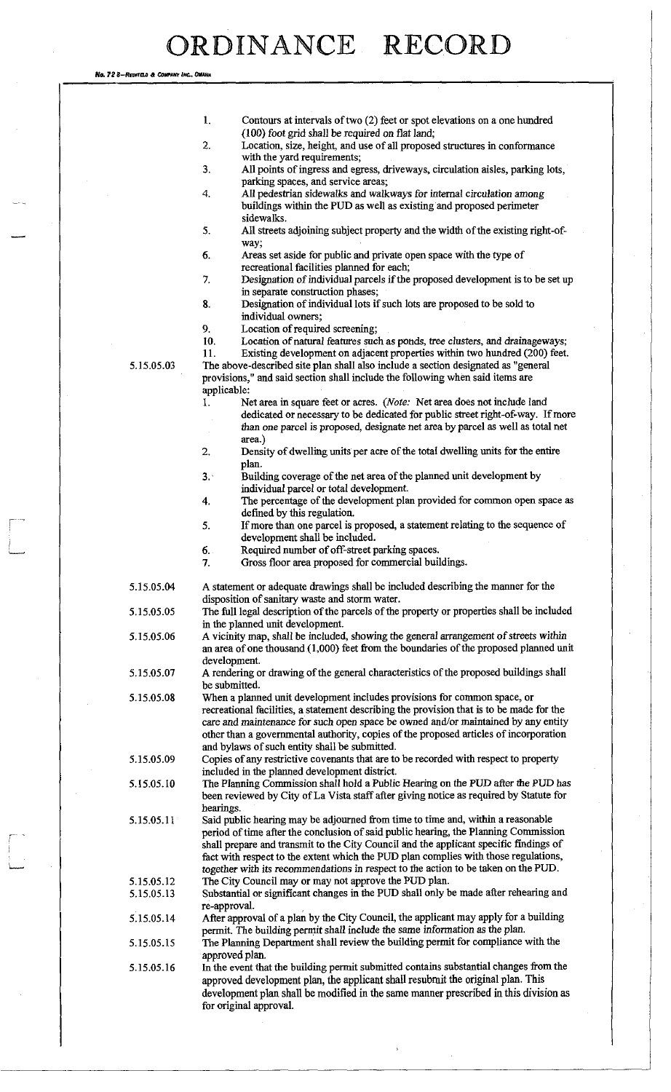No. *72* 8—R EDROO <sup>A</sup>*CourtNT INC, OMAHA*  1. Contours at intervals of two (2) feet or spot elevations on a one hundred (100) foot grid shall be required on flat land; 2. Location, size, height, and use of all proposed structures in conformance with the yard requirements; 3. All points of ingress and egress, driveways, circulation aisles, parking lots, parking spaces, and service areas; 4. All pedestrian sidewalks and walkways for internal circulation among buildings within the PUD as well as existing and proposed perimeter sidewalks. 5. All streets adjoining subject property and the width of the existing right-ofway; 6. Areas set aside for public and private open space with the type of recreational facilities planned for each; 7. Designation of individual parcels if the proposed development is to be set up in separate construction phases; 8. Designation of individual lots if such lots are proposed to be sold to individual owners; 9. Location of required screening; 10. Location of natural features such as ponds, tree clusters, and drainageways; 11. Existing development on adjacent properties within two hundred (200) feet. 5.15.05.03 The above-described site plan shall also include a section designated as "general provisions," and said section shall include the following when said items are applicable: 1. Net area in square feet or acres. *(Note:* Net area does not include land dedicated or necessary to be dedicated for public street right-of-way. If more than one parcel is proposed, designate net area by parcel as well as total net area.) 2. Density of dwelling units per acre of the total dwelling units for the entire plan. 3. Building coverage of the net area of the planned unit development by individual parcel or total development. 4. The percentage of the development plan provided for common open space as defined by this regulation. 5. If more than one parcel is proposed, a statement relating to the sequence of development shall be included. 6. Required number of off-street parking spaces. 7. Gross floor area proposed for commercial buildings.

5.15.05.04 A statement or adequate drawings shall be included describing the manner for the disposition of sanitary waste and storm water.

5.15.05.05 The full legal description of the parcels of the property or properties shall be included in the planned unit development.

5.15.05.06 A vicinity map, shall be included, showing the general arrangement of streets within an area of one thousand (1,000) feet from the boundaries of the proposed planned unit development.

5.15.05.07 A rendering or drawing of the general characteristics of the proposed buildings shall be submitted.

5.15.05.08 When a planned unit development includes provisions for common space, or recreational facilities, a statement describing the provision that is to be made for the care and maintenance for such open space be owned and/or maintained by any entity other than a governmental authority, copies of the proposed articles of incorporation and bylaws of such entity shall be submitted.

5.15.05.09 Copies of any restrictive covenants that are to be recorded with respect to property included in the planned development district.

5.15.05.10 The Planning Commission shall hold a Public Hearing on the PUD after the PUD has been reviewed by City of La Vista staff after giving notice as required by Statute for hearings.

5.15.05.11 Said public hearing may be adjourned from time to time and, within a reasonable period of time after the conclusion of said public hearing, the Planning Commission shall prepare and transmit to the City Council and the applicant specific findings of fact with respect to the extent which the PUD plan complies with those regulations, together with its recommendations in respect to the action to be taken on the PUD. 5.15.05.12 The City Council may or may not approve the PUD plan.

5.15.05.13 Substantial or significant changes in the PUD shall only be made after rehearing and re-approval.

5.15.05.14 After approval of a plan by the City Council, the applicant may apply for a building permit. The building permit shall include the same information as the plan.

5.15.05.15 The Planning Department shall review the building permit for compliance with the approved plan.

5.15.05.16 In the event that the building permit submitted contains substantial changes from the approved development plan, the applicant shall resubmit the original plan. This development plan shall be modified in the same manner prescribed in this division as for original approval.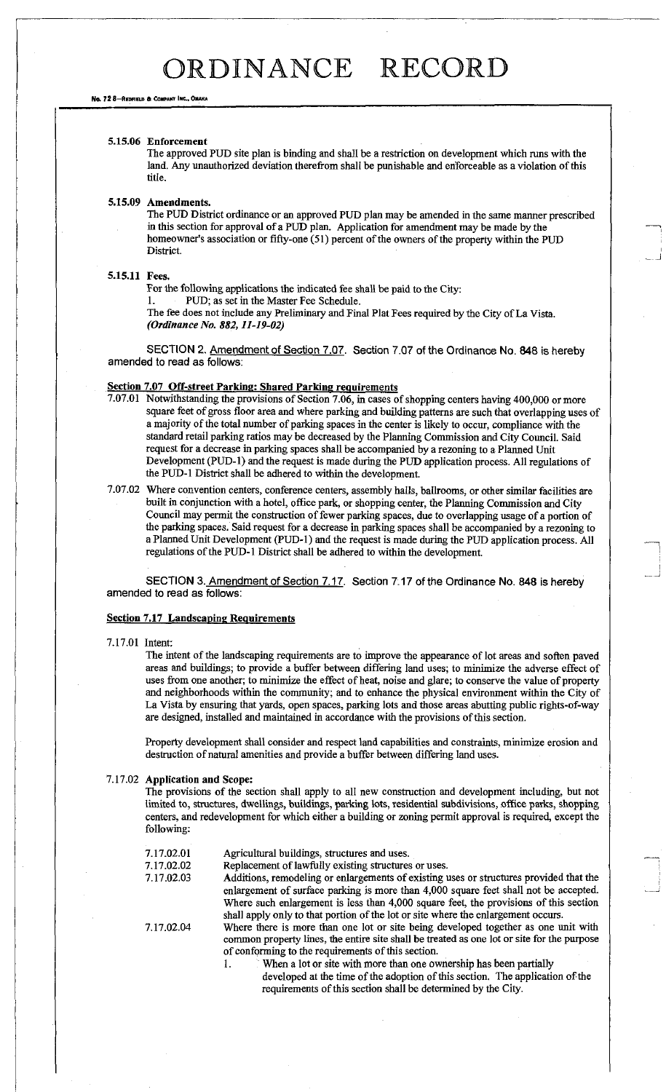No. 72 8-REOFIELD & COMPANY INC., OMAH

#### **5.15.06 Enforcement**

The approved PUD site plan is binding and shall be a restriction on development which runs with the land. Any unauthorized deviation therefrom shall be punishable and enforceable as a violation of this title.

### **5.15.09 Amendments.**

The PUD District ordinance or an approved PUD plan may be amended in the same manner prescribed in this section for approval of a PUD plan. Application for amendment may be made by the homeowner's association or fifty-one (51) percent of the owners of the property within the PUD District.

#### **5.15.11 Fees.**

For the following applications the indicated fee shall be paid to the City:

1. PUD; as set in the Master Fee Schedule.

The fee does not include any Preliminary and Final Plat Fees required by the City of La Vista. *(Ordinance No. 882,11-19-02)* 

SECTION 2. Amendment of Section 7.07. Section 7.07 of the Ordinance No. 848 is hereby amended to read as follows:

### **Section 7.07 Off-street Parking: Shared Parking requirements**

- 7.07.01 Notwithstanding the provisions of Section 7.06, in cases of shopping centers having 400,000 or more square feet of gross floor area and where parking and building patterns are such that overlapping uses of a majority of the total number of parking spaces in the center is likely to occur, compliance with the standard retail parking ratios may be decreased by the **Planning** Commission and City Council. Said request for a decrease in parking spaces shall be accompanied by a rezoning to a Planned Unit Development (PUD-1) and the request is made during the PUD application process. All regulations of the PUD-1 District shall be adhered to within the development.
- 7.07.02 Where convention centers, conference centers, assembly halls, ballrooms, or other similar facilities are built in conjunction with a hotel, office park, or shopping center, the Planning Commission and City Council may permit the construction of fewer parking spaces, due to overlapping usage of a portion of the parking spaces. Said request for a decrease in parking spaces shall be accompanied by a rezoning to a Planned Unit Development (PUD-1) and the request is made during the PUD application process. All regulations of the PUD-1 District shall be adhered to within the development.

SECTION 3. Amendment of Section 7.17. Section 7.17 of the Ordinance No. 848 is hereby amended to read as follows:

### **Section 7.17 Landscaping Requirements**

### 7.17.01 Intent:

The intent of the landscaping requirements are to improve the appearance of lot areas and soften paved areas and buildings; to provide a buffer between differing land uses; to minimize the adverse effect of uses from one another; to minimize the effect of heat, noise and glare; to conserve the value of property and neighborhoods within the community; and to enhance the physical environment within the City of La Vista by ensuring that yards, open spaces, parking lots and those areas abutting public rights-of-way are designed, installed and maintained in accordance with the provisions of this section.

Property development shall consider and respect land capabilities and constraints, minimize erosion and destruction of natural amenities and provide a buffer between differing land uses.

#### 7.17.02 **Application and Scope:**

The provisions of the section shall apply to all new construction and development including, but not limited to, structures, dwellings, buildings, parking lots, residential subdivisions, office parks, shopping centers, and redevelopment for which either a building or zoning permit approval is required, except the following:

| 7.17.02.01 | Agricultural buildings, structures and uses.                                                                                                                                                                                           |
|------------|----------------------------------------------------------------------------------------------------------------------------------------------------------------------------------------------------------------------------------------|
| 7.17.02.02 | Replacement of lawfully existing structures or uses.                                                                                                                                                                                   |
| 7.17.02.03 | Additions, remodeling or enlargements of existing uses or structures provided that the<br>enlargement of surface parking is more than 4,000 square feet shall not be accepted.                                                         |
|            | Where such enlargement is less than 4,000 square feet, the provisions of this section<br>shall apply only to that portion of the lot or site where the enlargement occurs.                                                             |
| 7.17.02.04 | Where there is more than one lot or site being developed together as one unit with<br>common property lines, the entire site shall be treated as one lot or site for the purpose<br>of conforming to the requirements of this section. |
|            | When a lot or site with more than one ownership has been partially                                                                                                                                                                     |
|            | developed at the time of the adoption of this section. The application of the                                                                                                                                                          |

requirements of this section shall be determined by the City.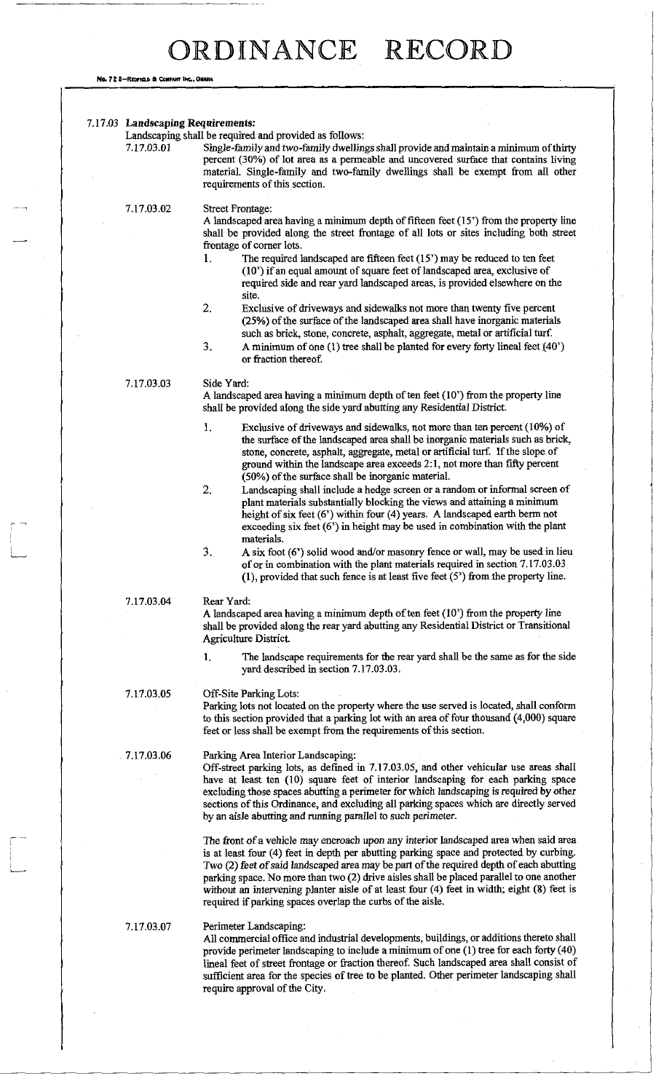No. 72 8-REDFIELD & COMPANY INC., OMAHA

 $\begin{bmatrix} 1 \\ 1 \\ 1 \\ 1 \end{bmatrix}$ 

 $\begin{picture}(20,5) \put(0,0){\vector(1,0){10}} \put(15,0){\vector(1,0){10}} \put(15,0){\vector(1,0){10}} \put(15,0){\vector(1,0){10}} \put(15,0){\vector(1,0){10}} \put(15,0){\vector(1,0){10}} \put(15,0){\vector(1,0){10}} \put(15,0){\vector(1,0){10}} \put(15,0){\vector(1,0){10}} \put(15,0){\vector(1,0){10}} \put(15,0){\vector(1,0){10}} \put(15,0){\vector(1,$ 

| 7.17.03.01  | Landscaping shall be required and provided as follows:<br>Single-family and two-family dwellings shall provide and maintain a minimum of thirty<br>percent (30%) of lot area as a permeable and uncovered surface that contains living<br>material. Single-family and two-family dwellings shall be exempt from all other<br>requirements of this section.                                                                                                                                                                                                                                                                                                                                                                                                                                                                                                                                                                                                                                                  |  |  |
|-------------|-------------------------------------------------------------------------------------------------------------------------------------------------------------------------------------------------------------------------------------------------------------------------------------------------------------------------------------------------------------------------------------------------------------------------------------------------------------------------------------------------------------------------------------------------------------------------------------------------------------------------------------------------------------------------------------------------------------------------------------------------------------------------------------------------------------------------------------------------------------------------------------------------------------------------------------------------------------------------------------------------------------|--|--|
| 7.17.03.02  | <b>Street Frontage:</b><br>A landscaped area having a minimum depth of fifteen feet (15') from the property line<br>shall be provided along the street frontage of all lots or sites including both street<br>frontage of corner lots.                                                                                                                                                                                                                                                                                                                                                                                                                                                                                                                                                                                                                                                                                                                                                                      |  |  |
|             | The required landscaped are fifteen feet $(15)$ may be reduced to ten feet<br>1.<br>(10') if an equal amount of square feet of landscaped area, exclusive of<br>required side and rear yard landscaped areas, is provided elsewhere on the<br>site.                                                                                                                                                                                                                                                                                                                                                                                                                                                                                                                                                                                                                                                                                                                                                         |  |  |
|             | 2.<br>Exclusive of driveways and sidewalks not more than twenty five percent<br>(25%) of the surface of the landscaped area shall have inorganic materials<br>such as brick, stone, concrete, asphalt, aggregate, metal or artificial turf.                                                                                                                                                                                                                                                                                                                                                                                                                                                                                                                                                                                                                                                                                                                                                                 |  |  |
|             | 3.<br>A minimum of one (1) tree shall be planted for every forty lineal feet (40')<br>or fraction thereof.                                                                                                                                                                                                                                                                                                                                                                                                                                                                                                                                                                                                                                                                                                                                                                                                                                                                                                  |  |  |
| 7.17.03.03  | Side Yard:<br>A landscaped area having a minimum depth of ten feet (10') from the property line<br>shall be provided along the side yard abutting any Residential District.                                                                                                                                                                                                                                                                                                                                                                                                                                                                                                                                                                                                                                                                                                                                                                                                                                 |  |  |
|             | 1.<br>Exclusive of driveways and sidewalks, not more than ten percent (10%) of<br>the surface of the landscaped area shall be inorganic materials such as brick,<br>stone, concrete, asphalt, aggregate, metal or artificial turf. If the slope of<br>ground within the landscape area exceeds 2:1, not more than fifty percent<br>(50%) of the surface shall be inorganic material.                                                                                                                                                                                                                                                                                                                                                                                                                                                                                                                                                                                                                        |  |  |
|             | 2.<br>Landscaping shall include a hedge screen or a random or informal screen of<br>plant materials substantially blocking the views and attaining a minimum<br>height of six feet (6') within four (4) years. A landscaped earth berm not<br>exceeding six feet $(6')$ in height may be used in combination with the plant<br>materials.                                                                                                                                                                                                                                                                                                                                                                                                                                                                                                                                                                                                                                                                   |  |  |
|             | 3.<br>A six foot (6') solid wood and/or masonry fence or wall, may be used in lieu<br>of or in combination with the plant materials required in section 7.17.03.03<br>$(1)$ , provided that such fence is at least five feet $(5')$ from the property line.                                                                                                                                                                                                                                                                                                                                                                                                                                                                                                                                                                                                                                                                                                                                                 |  |  |
| 7.17.03.04  | Rear Yard:<br>A landscaped area having a minimum depth of ten feet (10') from the property line<br>shall be provided along the rear yard abutting any Residential District or Transitional<br>Agriculture District.                                                                                                                                                                                                                                                                                                                                                                                                                                                                                                                                                                                                                                                                                                                                                                                         |  |  |
|             | The landscape requirements for the rear yard shall be the same as for the side<br>1.<br>yard described in section 7.17.03.03.                                                                                                                                                                                                                                                                                                                                                                                                                                                                                                                                                                                                                                                                                                                                                                                                                                                                               |  |  |
| 7.17.03.05  | <b>Off-Site Parking Lots:</b><br>Parking lots not located on the property where the use served is located, shall conform<br>to this section provided that a parking lot with an area of four thousand (4,000) square<br>feet or less shall be exempt from the requirements of this section.                                                                                                                                                                                                                                                                                                                                                                                                                                                                                                                                                                                                                                                                                                                 |  |  |
| .7.17.03.06 | Parking Area Interior Landscaping:<br>Off-street parking lots, as defined in 7.17.03.05, and other vehicular use areas shall<br>have at least ten (10) square feet of interior landscaping for each parking space<br>excluding those spaces abutting a perimeter for which landscaping is required by other<br>sections of this Ordinance, and excluding all parking spaces which are directly served<br>by an aisle abutting and running parallel to such perimeter.<br>The front of a vehicle may encroach upon any interior landscaped area when said area<br>is at least four (4) feet in depth per abutting parking space and protected by curbing.<br>Two (2) feet of said landscaped area may be part of the required depth of each abutting<br>parking space. No more than two (2) drive aisles shall be placed parallel to one another<br>without an intervening planter aisle of at least four (4) feet in width; eight (8) feet is<br>required if parking spaces overlap the curbs of the aisle. |  |  |
|             |                                                                                                                                                                                                                                                                                                                                                                                                                                                                                                                                                                                                                                                                                                                                                                                                                                                                                                                                                                                                             |  |  |
| 7.17.03.07  | Perimeter Landscaping:<br>All commercial office and industrial developments, buildings, or additions thereto shall<br>provide perimeter landscaping to include a minimum of one (1) tree for each forty (40)<br>lineal feet of street frontage or fraction thereof. Such landscaped area shall consist of<br>sufficient area for the species of tree to be planted. Other perimeter landscaping shall<br>require approval of the City.                                                                                                                                                                                                                                                                                                                                                                                                                                                                                                                                                                      |  |  |

 $\sim 10^{11}$  m  $^{-1}$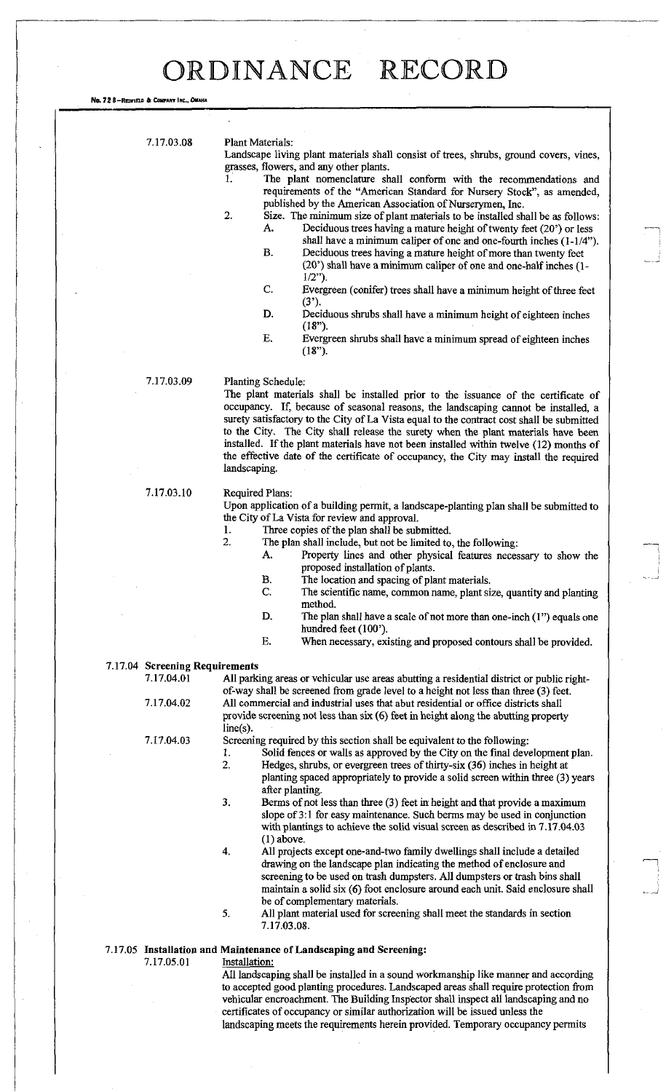No. 72 8-REDFIELD & COMPANY INC., OMAHA

7.17.03.08 Plant Materials:

Landscape living plant materials shall consist of trees, shrubs, ground covers, vines, grasses, flowers, and any other plants.

- The plant nomenclature shall conform with the recommendations and requirements of the "American Standard for Nursery Stock", as amended, published by the American Association of Nurserymen, Inc.
- 2. Size. The minimum size of plant materials to be installed shall be as follows: A. Deciduous trees having a mature height of twenty feet (20') or less shall have a minimum caliper of one and one-fourth inches (1-1/4").
	- B. Deciduous trees having a mature height of more than twenty feet (20') shall have a minimum caliper of one and one-half inches (1-  $1/2$ ").
	- C. Evergreen (conifer) trees shall have a minimum height of three feet  $(3')$ .
	- D. Deciduous shrubs shall have a minimum height of eighteen inches **(18").**
	- E. Evergreen shrubs shall have a minimum spread of eighteen inches **(18").**

### 7.17.03.09 Planting Schedule:

The plant materials shall be installed prior to the issuance of the certificate of occupancy. If, because of seasonal reasons, the landscaping cannot be installed, a surety satisfactory to the City of La Vista equal to the contract cost shall be submitted to the City. The City shall release the surety when the plant materials have been installed. If the plant materials have not been installed within twelve (12) months of the effective date of the certificate of occupancy, the City may install the required landscaping.

### 7.17.03.10 Required Plans:

line(s).

Upon application of a building permit, a landscape-planting plan shall be submitted to the City of La Vista for review and approval.

- 1. Three copies of the plan shall be submitted.<br>2. The plan shall include, but not be limited to
	- The plan shall include, but not be limited to, the following: A. Property lines and other physical features necessary to show the proposed installation of plants.
		- B. The location and spacing of plant materials.
	- C. The scientific name, common name, plant size, quantity and planting method.
	- D. The plan shall have a scale of not more than one-inch (1") equals one hundred feet (100').
	- E. When necessary, existing and proposed contours shall be provided.

## 7.17.04 **Screening Requirements**

All parking areas or vehicular use areas abutting a residential district or public rightof-way shall be screened from grade level to a height not less than three (3) feet. 7.17.04.02 All commercial and industrial uses that abut residential or office districts shall provide screening not less than six (6) feet in height along the abutting property

7.17.04.03 Screening required by this section shall be equivalent to the following:

- 1. Solid fences or walls as approved by the City on the final development plan.
- 2. Hedges, shrubs, or evergreen trees of thirty-six (36) inches in height at planting spaced appropriately to provide a solid screen within three (3) years after planting.
- 3. Berms of not less than three (3) feet in height and that provide a maximum slope of 3:1 for easy maintenance. Such berms may be used in conjunction with plantings to achieve the solid visual screen as described in 7.17.04.03 (1) above.
- 4. All projects except one-and-two family dwellings shall include a detailed drawing on the landscape plan indicating the method of enclosure and screening to be used on trash dumpsters. All dumpsters or trash bins shall maintain a solid six (6) foot enclosure around each unit. Said enclosure shall be of complementary materials.
- 5. All plant material used for screening shall meet the standards in section 7.17.03.08.

### 7.17.05 **Installation and Maintenance of Landscaping and Screening:**

7.17.05.01 Installation:

All landscaping shall be installed in a sound workmanship like manner and according to accepted good planting procedures. Landscaped areas shall require protection from vehicular encroachment. The Building Inspector shall inspect all landscaping and no certificates of occupancy or similar authorization will be issued unless the landscaping meets the requirements herein provided. Temporary occupancy permits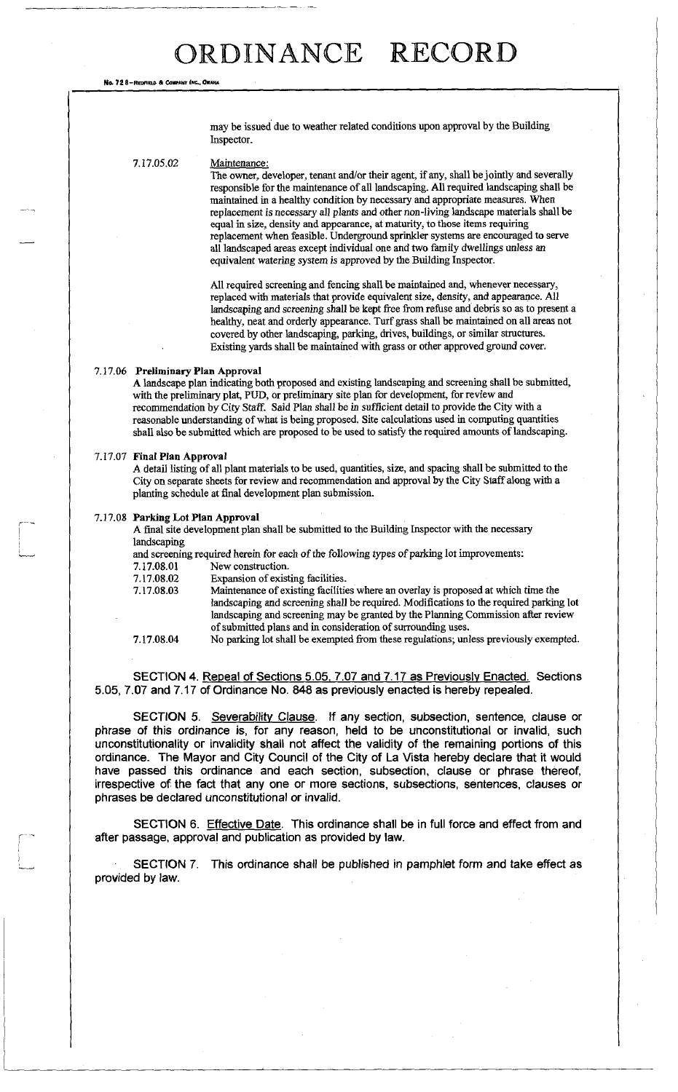No. 72 8-REDFIELD & COMPANY INC., OMAHA

may be issued due to weather related conditions upon approval by the Building Inspector.

### 7.17.05.02 Maintenance:

The owner, developer, tenant and/or their agent, if any, shall be jointly and severally responsible for the maintenance of all landscaping. All required landscaping shall be maintained in a healthy condition by necessary and appropriate measures. When replacement is necessary all plants and other non-living landscape materials shall be equal in size, density and appearance, at maturity, to those items requiring replacement when feasible. Underground sprinkler systems are encouraged to serve all landscaped areas except individual one and two family dwellings unless an equivalent watering system is approved by the Building Inspector.

All required screening and fencing shall be maintained and, whenever necessary, replaced with materials that provide equivalent size, density, and appearance. All landscaping and screening shall be kept free from refuse and debris so as to present a healthy, neat and orderly appearance. Turf grass shall be maintained on all areas not covered by other landscaping, parking, drives, buildings, or similar structures. Existing yards shall be maintained with grass or other approved ground cover.

### **7.17.06 Preliminary Plan Approval**

A landscape plan indicating both proposed and existing landscaping and screening shall be submitted, with the preliminary plat, PUD, or preliminary site plan for development, for review and recommendation by City Staff. Said Plan shall be in sufficient detail to provide the City with a reasonable understanding of what is being proposed. Site calculations used in computing quantities shall also be submitted which are proposed to be used to satisfy the required amounts of landscaping.

### 7.17.07 **Final Plan Approval**

A detail listing of all plant materials to be used, quantities, size, and spacing shall be submitted to the City on separate sheets for review and recommendation and approval by the City Staff along with a planting schedule at final development plan submission.

#### **7.17.08 Parking Lot Plan Approval**

A final site development plan shall be submitted to the Building Inspector with the necessary landscaping

and screening required herein for each of the following types of parking lot improvements:

7.17.08.01 New construction.

| 7.17.08.02 | Expansion of existing facilities. |  |
|------------|-----------------------------------|--|
| ------     | .                                 |  |

7.17.08.03 Maintenance of existing facilities where an overlay is proposed at which time the landscaping and screening shall be required. Modifications to the required parking lot landscaping and screening may be granted by the Planning Commission after review of submitted plans and in consideration of surrounding uses. 7.17.08.04 No parking lot shall be exempted from these regulations; unless previously exempted.

SECTION 4. Repeal of Sections 5.05, 7.07 and 7.17 as Previously Enacted. Sections 5.05, 7.07 and 7.17 of Ordinance No. 848 as previously enacted is hereby repealed.

SECTION 5. Severability Clause. If any section, subsection, sentence, clause or phrase of this ordinance is, for any reason, held to be unconstitutional or invalid, such unconstitutionality or invalidity shall not affect the validity of the remaining portions of this ordinance. The Mayor and City Council of the City of La Vista hereby declare that it would have passed this ordinance and each section, subsection, clause or phrase thereof, irrespective of the fact that any one or more sections, subsections, sentences, clauses or phrases be declared unconstitutional or invalid.

SECTION 6. Effective Date. This ordinance shall be in full force and effect from and after passage, approval and publication as provided by law.

SECTION 7. This ordinance shall be published in pamphlet form and take effect as provided by law.